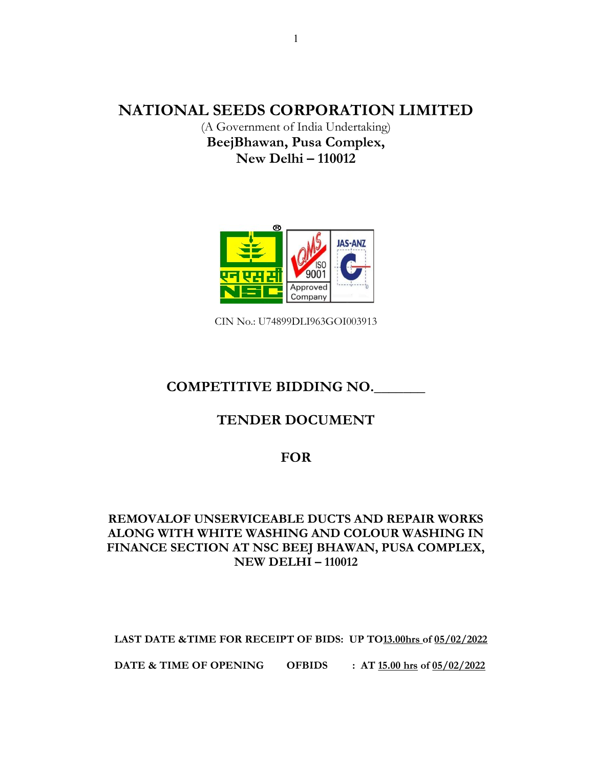# NATIONAL SEEDS CORPORATION LIMITED

(A Government of India Undertaking) BeejBhawan, Pusa Complex, New Delhi – 110012



CIN No.: U74899DLI963GOI003913

# COMPETITIVE BIDDING NO.

# TENDER DOCUMENT

## FOR

# REMOVALOF UNSERVICEABLE DUCTS AND REPAIR WORKS ALONG WITH WHITE WASHING AND COLOUR WASHING IN FINANCE SECTION AT NSC BEEJ BHAWAN, PUSA COMPLEX, NEW DELHI – 110012

LAST DATE &TIME FOR RECEIPT OF BIDS: UP TO13.00hrs of 05/02/2022

DATE & TIME OF OPENING OFBIDS : AT 15.00 hrs of 05/02/2022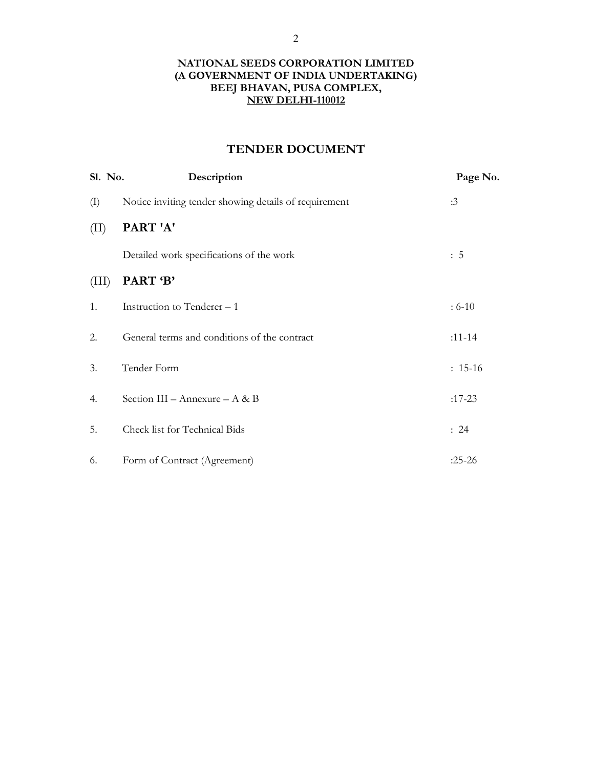## NATIONAL SEEDS CORPORATION LIMITED (A GOVERNMENT OF INDIA UNDERTAKING) BEEJ BHAVAN, PUSA COMPLEX, NEW DELHI-110012

# TENDER DOCUMENT

| Sl. No.                    | Description                                           | Page No.   |
|----------------------------|-------------------------------------------------------|------------|
| $\left( \mathrm{I}\right)$ | Notice inviting tender showing details of requirement | :3         |
| (II)                       | PART'A'                                               |            |
|                            | Detailed work specifications of the work              | : 5        |
| (III)                      | PART 'B'                                              |            |
| 1.                         | Instruction to Tenderer – 1                           | $: 6 - 10$ |
| 2.                         | General terms and conditions of the contract          | $:11 - 14$ |
| 3.                         | Tender Form                                           | $: 15-16$  |
| 4.                         | Section III – Annexure – A & B                        | $:17-23$   |
| 5.                         | Check list for Technical Bids                         | : 24       |
| 6.                         | Form of Contract (Agreement)                          | $:25-26$   |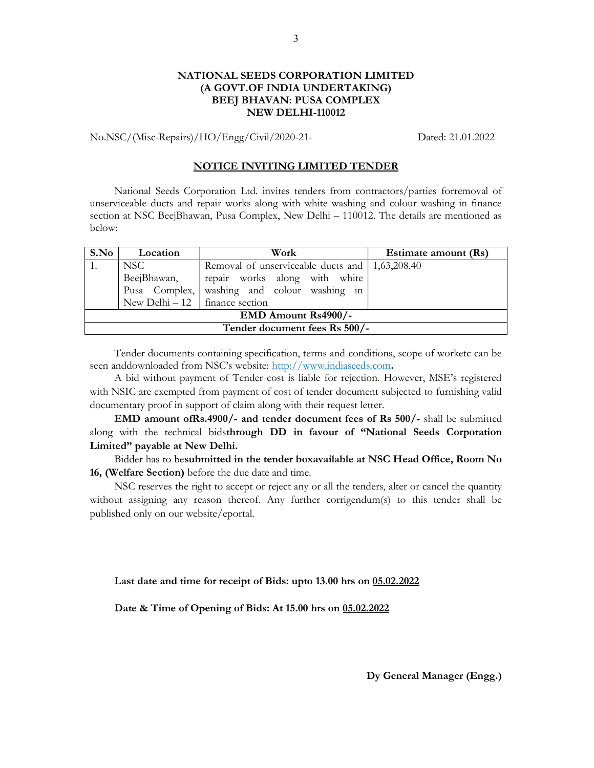## NATIONAL SEEDS CORPORATION LIMITED (A GOVT.OF INDIA UNDERTAKING) BEEJ BHAVAN: PUSA COMPLEX NEW DELHI-110012

No.NSC/(Misc-Repairs)/HO/Engg/Civil/2020-21- Dated: 21.01.2022

## NOTICE INVITING LIMITED TENDER

National Seeds Corporation Ltd. invites tenders from contractors/parties forremoval of unserviceable ducts and repair works along with white washing and colour washing in finance section at NSC BeejBhawan, Pusa Complex, New Delhi – 110012. The details are mentioned as below:

| S.No                              | Location | Work                                             | Estimate amount (Rs) |  |  |
|-----------------------------------|----------|--------------------------------------------------|----------------------|--|--|
| NSC                               |          | Removal of unserviceable ducts and   1,63,208.40 |                      |  |  |
| BeejBhawan,                       |          | repair works along with white                    |                      |  |  |
| Pusa Complex,                     |          | washing and colour washing in                    |                      |  |  |
| New Delhi $-12$   finance section |          |                                                  |                      |  |  |
| EMD Amount Rs4900/-               |          |                                                  |                      |  |  |
| Tender document fees Rs 500/-     |          |                                                  |                      |  |  |

Tender documents containing specification, terms and conditions, scope of worketc can be seen anddownloaded from NSC's website: http://www.indiaseeds.com.

A bid without payment of Tender cost is liable for rejection. However, MSE's registered with NSIC are exempted from payment of cost of tender document subjected to furnishing valid documentary proof in support of claim along with their request letter.

EMD amount ofRs.4900/- and tender document fees of Rs 500/- shall be submitted along with the technical bidsthrough DD in favour of "National Seeds Corporation Limited" payable at New Delhi.

Bidder has to besubmitted in the tender boxavailable at NSC Head Office, Room No 16, (Welfare Section) before the due date and time.

NSC reserves the right to accept or reject any or all the tenders, alter or cancel the quantity without assigning any reason thereof. Any further corrigendum(s) to this tender shall be published only on our website/eportal.

Last date and time for receipt of Bids: upto 13.00 hrs on 05.02.2022

Date & Time of Opening of Bids: At 15.00 hrs on 05.02.2022

Dy General Manager (Engg.)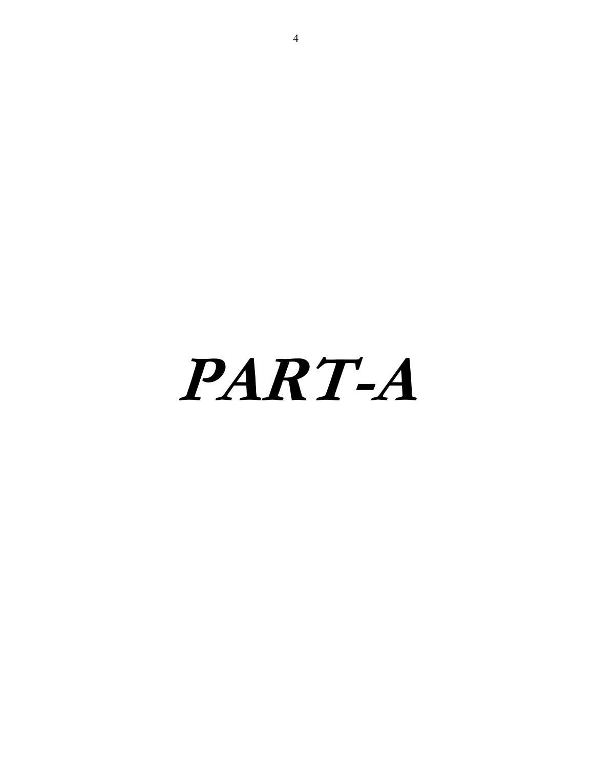PART-A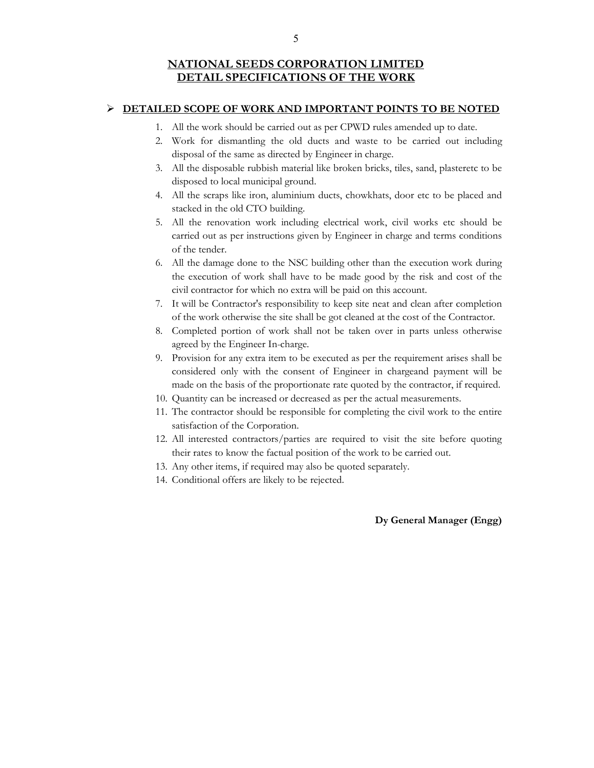## **EXAMPLE ASSESSED SCOPE OF WORK AND IMPORTANT POINTS TO BE NOTED**

- 1. All the work should be carried out as per CPWD rules amended up to date.
- 2. Work for dismantling the old ducts and waste to be carried out including disposal of the same as directed by Engineer in charge.
- 3. All the disposable rubbish material like broken bricks, tiles, sand, plasteretc to be disposed to local municipal ground.
- 4. All the scraps like iron, aluminium ducts, chowkhats, door etc to be placed and stacked in the old CTO building.
- 5. All the renovation work including electrical work, civil works etc should be carried out as per instructions given by Engineer in charge and terms conditions of the tender.
- 6. All the damage done to the NSC building other than the execution work during the execution of work shall have to be made good by the risk and cost of the civil contractor for which no extra will be paid on this account.
- 7. It will be Contractor's responsibility to keep site neat and clean after completion of the work otherwise the site shall be got cleaned at the cost of the Contractor.
- 8. Completed portion of work shall not be taken over in parts unless otherwise agreed by the Engineer In-charge.
- 9. Provision for any extra item to be executed as per the requirement arises shall be considered only with the consent of Engineer in chargeand payment will be made on the basis of the proportionate rate quoted by the contractor, if required.
- 10. Quantity can be increased or decreased as per the actual measurements.
- 11. The contractor should be responsible for completing the civil work to the entire satisfaction of the Corporation.
- 12. All interested contractors/parties are required to visit the site before quoting their rates to know the factual position of the work to be carried out.
- 13. Any other items, if required may also be quoted separately.
- 14. Conditional offers are likely to be rejected.

Dy General Manager (Engg)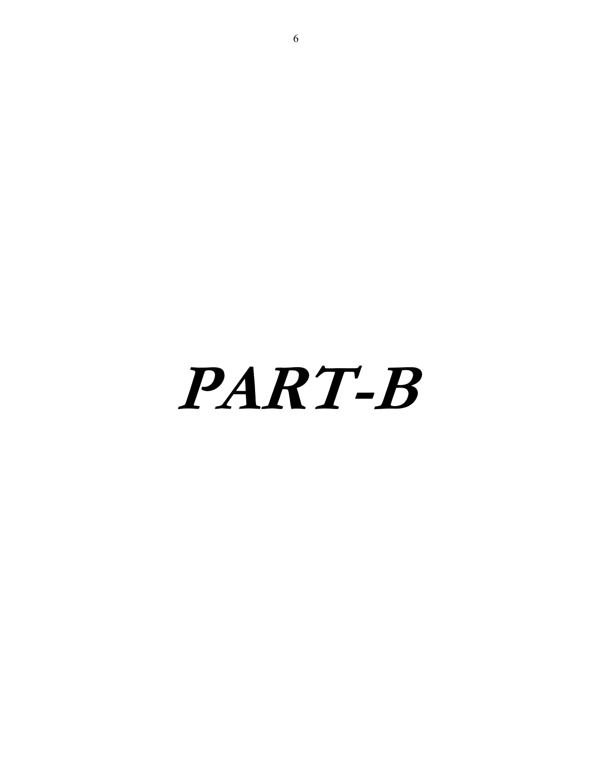# PART-B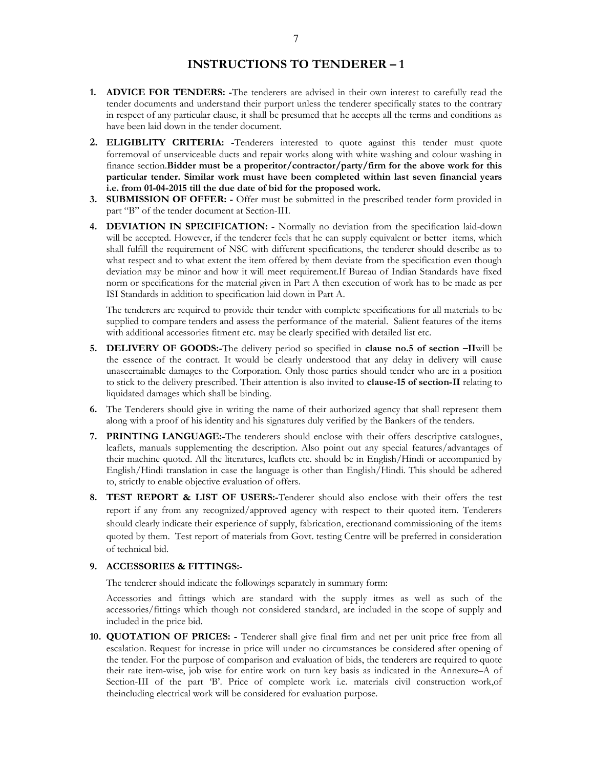## INSTRUCTIONS TO TENDERER – 1

- 1. ADVICE FOR TENDERS: -The tenderers are advised in their own interest to carefully read the tender documents and understand their purport unless the tenderer specifically states to the contrary in respect of any particular clause, it shall be presumed that he accepts all the terms and conditions as have been laid down in the tender document.
- 2. ELIGIBLITY CRITERIA: -Tenderers interested to quote against this tender must quote forremoval of unserviceable ducts and repair works along with white washing and colour washing in finance section.Bidder must be a properitor/contractor/party/firm for the above work for this particular tender. Similar work must have been completed within last seven financial years i.e. from 01-04-2015 till the due date of bid for the proposed work.
- 3. SUBMISSION OF OFFER: Offer must be submitted in the prescribed tender form provided in part "B" of the tender document at Section-III.
- 4. DEVIATION IN SPECIFICATION: Normally no deviation from the specification laid-down will be accepted. However, if the tenderer feels that he can supply equivalent or better items, which shall fulfill the requirement of NSC with different specifications, the tenderer should describe as to what respect and to what extent the item offered by them deviate from the specification even though deviation may be minor and how it will meet requirement.If Bureau of Indian Standards have fixed norm or specifications for the material given in Part A then execution of work has to be made as per ISI Standards in addition to specification laid down in Part A.

The tenderers are required to provide their tender with complete specifications for all materials to be supplied to compare tenders and assess the performance of the material. Salient features of the items with additional accessories fitment etc. may be clearly specified with detailed list etc.

- 5. DELIVERY OF GOODS:-The delivery period so specified in clause no.5 of section –IIwill be the essence of the contract. It would be clearly understood that any delay in delivery will cause unascertainable damages to the Corporation. Only those parties should tender who are in a position to stick to the delivery prescribed. Their attention is also invited to **clause-15 of section-II** relating to liquidated damages which shall be binding.
- 6. The Tenderers should give in writing the name of their authorized agency that shall represent them along with a proof of his identity and his signatures duly verified by the Bankers of the tenders.
- 7. PRINTING LANGUAGE:-The tenderers should enclose with their offers descriptive catalogues, leaflets, manuals supplementing the description. Also point out any special features/advantages of their machine quoted. All the literatures, leaflets etc. should be in English/Hindi or accompanied by English/Hindi translation in case the language is other than English/Hindi. This should be adhered to, strictly to enable objective evaluation of offers.
- 8. TEST REPORT & LIST OF USERS:-Tenderer should also enclose with their offers the test report if any from any recognized/approved agency with respect to their quoted item. Tenderers should clearly indicate their experience of supply, fabrication, erectionand commissioning of the items quoted by them. Test report of materials from Govt. testing Centre will be preferred in consideration of technical bid.

#### 9. ACCESSORIES & FITTINGS:-

The tenderer should indicate the followings separately in summary form:

Accessories and fittings which are standard with the supply itmes as well as such of the accessories/fittings which though not considered standard, are included in the scope of supply and included in the price bid.

10. QUOTATION OF PRICES: - Tenderer shall give final firm and net per unit price free from all escalation. Request for increase in price will under no circumstances be considered after opening of the tender. For the purpose of comparison and evaluation of bids, the tenderers are required to quote their rate item-wise, job wise for entire work on turn key basis as indicated in the Annexure–A of Section-III of the part 'B'. Price of complete work i.e. materials civil construction work,of theincluding electrical work will be considered for evaluation purpose.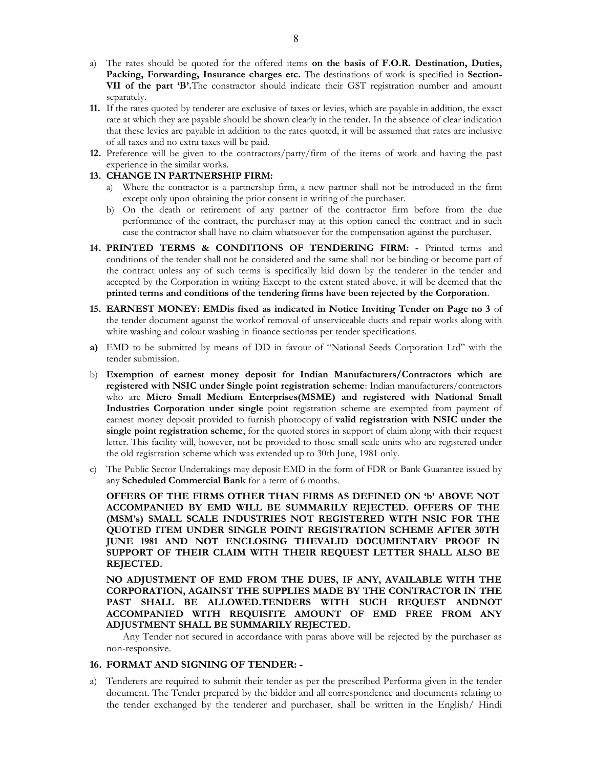- a) The rates should be quoted for the offered items on the basis of F.O.R. Destination, Duties, Packing, Forwarding, Insurance charges etc. The destinations of work is specified in Section-VII of the part 'B'.The constractor should indicate their GST registration number and amount separately.
- 11. If the rates quoted by tenderer are exclusive of taxes or levies, which are payable in addition, the exact rate at which they are payable should be shown clearly in the tender. In the absence of clear indication that these levies are payable in addition to the rates quoted, it will be assumed that rates are inclusive of all taxes and no extra taxes will be paid.
- 12. Preference will be given to the contractors/party/firm of the items of work and having the past experience in the similar works.

## 13. CHANGE IN PARTNERSHIP FIRM:

- a) Where the contractor is a partnership firm, a new partner shall not be introduced in the firm except only upon obtaining the prior consent in writing of the purchaser.
- b) On the death or retirement of any partner of the contractor firm before from the due performance of the contract, the purchaser may at this option cancel the contract and in such case the contractor shall have no claim whatsoever for the compensation against the purchaser.
- 14. PRINTED TERMS & CONDITIONS OF TENDERING FIRM: Printed terms and conditions of the tender shall not be considered and the same shall not be binding or become part of the contract unless any of such terms is specifically laid down by the tenderer in the tender and accepted by the Corporation in writing Except to the extent stated above, it will be deemed that the printed terms and conditions of the tendering firms have been rejected by the Corporation.
- 15. EARNEST MONEY: EMDis fixed as indicated in Notice Inviting Tender on Page no 3 of the tender document against the workof removal of unserviceable ducts and repair works along with white washing and colour washing in finance sectionas per tender specifications.
- a) EMD to be submitted by means of DD in favour of "National Seeds Corporation Ltd" with the tender submission.
- b) Exemption of earnest money deposit for Indian Manufacturers/Contractors which are registered with NSIC under Single point registration scheme: Indian manufacturers/contractors who are Micro Small Medium Enterprises(MSME) and registered with National Small Industries Corporation under single point registration scheme are exempted from payment of earnest money deposit provided to furnish photocopy of valid registration with NSIC under the single point registration scheme, for the quoted stores in support of claim along with their request letter. This facility will, however, not be provided to those small scale units who are registered under the old registration scheme which was extended up to 30th June, 1981 only.
- c) The Public Sector Undertakings may deposit EMD in the form of FDR or Bank Guarantee issued by any Scheduled Commercial Bank for a term of 6 months.

OFFERS OF THE FIRMS OTHER THAN FIRMS AS DEFINED ON 'b' ABOVE NOT ACCOMPANIED BY EMD WILL BE SUMMARILY REJECTED. OFFERS OF THE (MSM's) SMALL SCALE INDUSTRIES NOT REGISTERED WITH NSIC FOR THE QUOTED ITEM UNDER SINGLE POINT REGISTRATION SCHEME AFTER 30TH JUNE 1981 AND NOT ENCLOSING THEVALID DOCUMENTARY PROOF IN SUPPORT OF THEIR CLAIM WITH THEIR REQUEST LETTER SHALL ALSO BE REJECTED.

NO ADJUSTMENT OF EMD FROM THE DUES, IF ANY, AVAILABLE WITH THE CORPORATION, AGAINST THE SUPPLIES MADE BY THE CONTRACTOR IN THE PAST SHALL BE ALLOWED.TENDERS WITH SUCH REQUEST ANDNOT ACCOMPANIED WITH REQUISITE AMOUNT OF EMD FREE FROM ANY ADJUSTMENT SHALL BE SUMMARILY REJECTED.

 Any Tender not secured in accordance with paras above will be rejected by the purchaser as non-responsive.

#### 16. FORMAT AND SIGNING OF TENDER: -

a) Tenderers are required to submit their tender as per the prescribed Performa given in the tender document. The Tender prepared by the bidder and all correspondence and documents relating to the tender exchanged by the tenderer and purchaser, shall be written in the English/ Hindi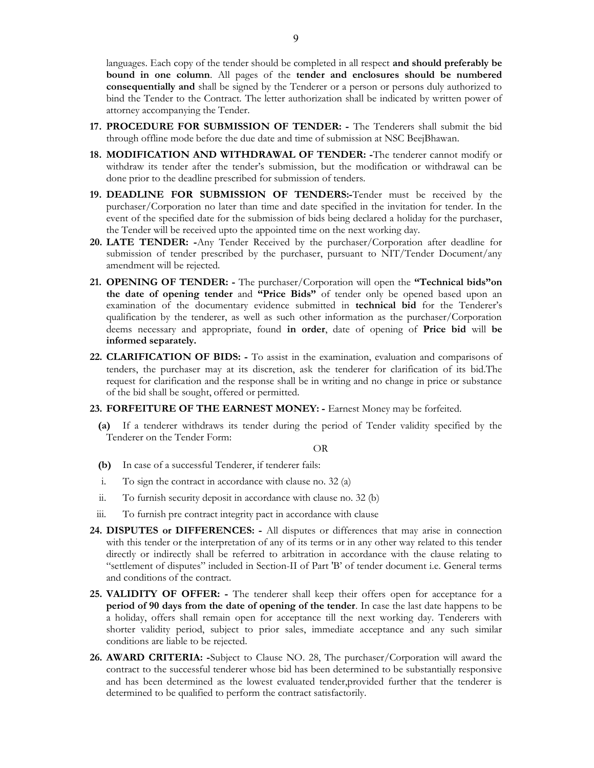languages. Each copy of the tender should be completed in all respect and should preferably be bound in one column. All pages of the tender and enclosures should be numbered consequentially and shall be signed by the Tenderer or a person or persons duly authorized to bind the Tender to the Contract. The letter authorization shall be indicated by written power of attorney accompanying the Tender.

- 17. PROCEDURE FOR SUBMISSION OF TENDER: The Tenderers shall submit the bid through offline mode before the due date and time of submission at NSC BeejBhawan.
- 18. MODIFICATION AND WITHDRAWAL OF TENDER: -The tenderer cannot modify or withdraw its tender after the tender's submission, but the modification or withdrawal can be done prior to the deadline prescribed for submission of tenders.
- 19. DEADLINE FOR SUBMISSION OF TENDERS:-Tender must be received by the purchaser/Corporation no later than time and date specified in the invitation for tender. In the event of the specified date for the submission of bids being declared a holiday for the purchaser, the Tender will be received upto the appointed time on the next working day.
- 20. LATE TENDER: -Any Tender Received by the purchaser/Corporation after deadline for submission of tender prescribed by the purchaser, pursuant to NIT/Tender Document/any amendment will be rejected.
- 21. OPENING OF TENDER: The purchaser/Corporation will open the "Technical bids"on the date of opening tender and "Price Bids" of tender only be opened based upon an examination of the documentary evidence submitted in technical bid for the Tenderer's qualification by the tenderer, as well as such other information as the purchaser/Corporation deems necessary and appropriate, found in order, date of opening of Price bid will be informed separately.
- 22. CLARIFICATION OF BIDS: To assist in the examination, evaluation and comparisons of tenders, the purchaser may at its discretion, ask the tenderer for clarification of its bid.The request for clarification and the response shall be in writing and no change in price or substance of the bid shall be sought, offered or permitted.
- 23. FORFEITURE OF THE EARNEST MONEY: Earnest Money may be forfeited.
	- (a) If a tenderer withdraws its tender during the period of Tender validity specified by the Tenderer on the Tender Form:

## OR

- (b) In case of a successful Tenderer, if tenderer fails:
- i. To sign the contract in accordance with clause no. 32 (a)
- ii. To furnish security deposit in accordance with clause no. 32 (b)
- iii. To furnish pre contract integrity pact in accordance with clause
- 24. DISPUTES or DIFFERENCES: All disputes or differences that may arise in connection with this tender or the interpretation of any of its terms or in any other way related to this tender directly or indirectly shall be referred to arbitration in accordance with the clause relating to "settlement of disputes" included in Section-II of Part 'B' of tender document i.e. General terms and conditions of the contract.
- 25. VALIDITY OF OFFER: The tenderer shall keep their offers open for acceptance for a period of 90 days from the date of opening of the tender. In case the last date happens to be a holiday, offers shall remain open for acceptance till the next working day. Tenderers with shorter validity period, subject to prior sales, immediate acceptance and any such similar conditions are liable to be rejected.
- 26. AWARD CRITERIA: -Subject to Clause NO. 28, The purchaser/Corporation will award the contract to the successful tenderer whose bid has been determined to be substantially responsive and has been determined as the lowest evaluated tender,provided further that the tenderer is determined to be qualified to perform the contract satisfactorily.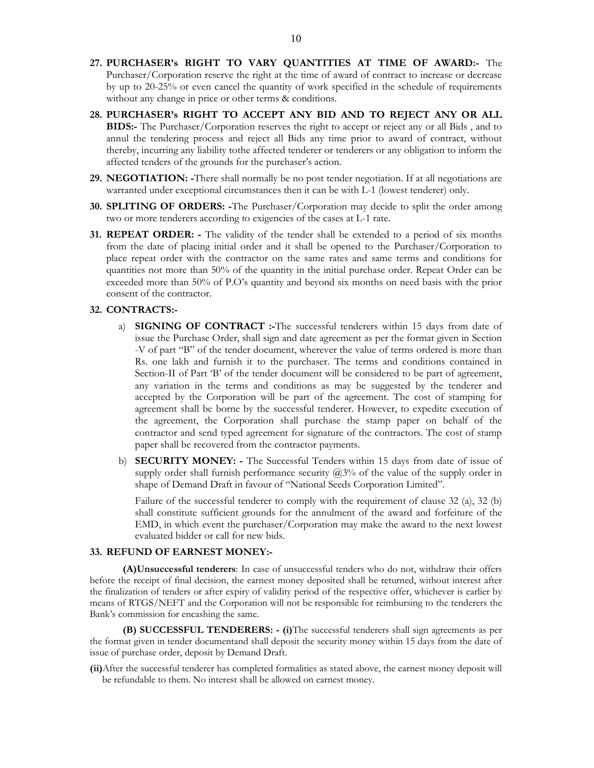- 27. PURCHASER's RIGHT TO VARY QUANTITIES AT TIME OF AWARD:- The Purchaser/Corporation reserve the right at the time of award of contract to increase or decrease by up to 20-25% or even cancel the quantity of work specified in the schedule of requirements without any change in price or other terms & conditions.
- 28. PURCHASER's RIGHT TO ACCEPT ANY BID AND TO REJECT ANY OR ALL BIDS:- The Purchaser/Corporation reserves the right to accept or reject any or all Bids , and to annul the tendering process and reject all Bids any time prior to award of contract, without thereby, incurring any liability tothe affected tenderer or tenderers or any obligation to inform the affected tenders of the grounds for the purchaser's action.
- 29. NEGOTIATION: -There shall normally be no post tender negotiation. If at all negotiations are warranted under exceptional circumstances then it can be with L-1 (lowest tenderer) only.
- 30. SPLITING OF ORDERS: -The Purchaser/Corporation may decide to split the order among two or more tenderers according to exigencies of the cases at L-1 rate.
- 31. REPEAT ORDER: The validity of the tender shall be extended to a period of six months from the date of placing initial order and it shall be opened to the Purchaser/Corporation to place repeat order with the contractor on the same rates and same terms and conditions for quantities not more than 50% of the quantity in the initial purchase order. Repeat Order can be exceeded more than 50% of P.O's quantity and beyond six months on need basis with the prior consent of the contractor.

## 32. CONTRACTS:-

- a) SIGNING OF CONTRACT :-The successful tenderers within 15 days from date of issue the Purchase Order, shall sign and date agreement as per the format given in Section -V of part "B" of the tender document, wherever the value of terms ordered is more than Rs. one lakh and furnish it to the purchaser. The terms and conditions contained in Section-II of Part 'B' of the tender document will be considered to be part of agreement, any variation in the terms and conditions as may be suggested by the tenderer and accepted by the Corporation will be part of the agreement. The cost of stamping for agreement shall be borne by the successful tenderer. However, to expedite execution of the agreement, the Corporation shall purchase the stamp paper on behalf of the contractor and send typed agreement for signature of the contractors. The cost of stamp paper shall be recovered from the contractor payments.
- b) **SECURITY MONEY:** The Successful Tenders within 15 days from date of issue of supply order shall furnish performance security  $(2,3)$ % of the value of the supply order in shape of Demand Draft in favour of "National Seeds Corporation Limited".

Failure of the successful tenderer to comply with the requirement of clause 32 (a), 32 (b) shall constitute sufficient grounds for the annulment of the award and forfeiture of the EMD, in which event the purchaser/Corporation may make the award to the next lowest evaluated bidder or call for new bids.

#### 33. REFUND OF EARNEST MONEY:-

(A)Unsuccessful tenderers: In case of unsuccessful tenders who do not, withdraw their offers before the receipt of final decision, the earnest money deposited shall be returned, without interest after the finalization of tenders or after expiry of validity period of the respective offer, whichever is earlier by means of RTGS/NEFT and the Corporation will not be responsible for reimbursing to the tenderers the Bank's commission for encashing the same.

(B) SUCCESSFUL TENDERERS: - (i)The successful tenderers shall sign agreements as per the format given in tender documentand shall deposit the security money within 15 days from the date of issue of purchase order, deposit by Demand Draft.

(ii)After the successful tenderer has completed formalities as stated above, the earnest money deposit will be refundable to them. No interest shall be allowed on earnest money.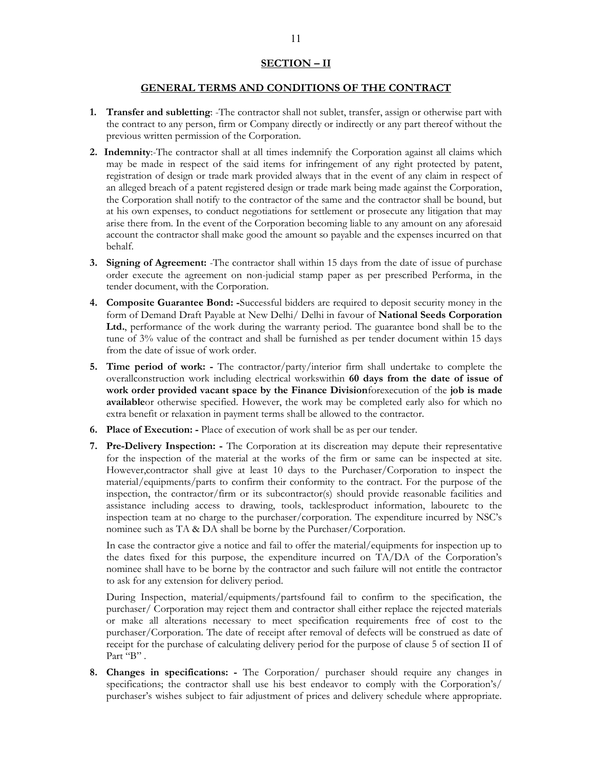## SECTION – II

## GENERAL TERMS AND CONDITIONS OF THE CONTRACT

- 1. Transfer and subletting: -The contractor shall not sublet, transfer, assign or otherwise part with the contract to any person, firm or Company directly or indirectly or any part thereof without the previous written permission of the Corporation.
- 2. Indemnity:-The contractor shall at all times indemnify the Corporation against all claims which may be made in respect of the said items for infringement of any right protected by patent, registration of design or trade mark provided always that in the event of any claim in respect of an alleged breach of a patent registered design or trade mark being made against the Corporation, the Corporation shall notify to the contractor of the same and the contractor shall be bound, but at his own expenses, to conduct negotiations for settlement or prosecute any litigation that may arise there from. In the event of the Corporation becoming liable to any amount on any aforesaid account the contractor shall make good the amount so payable and the expenses incurred on that behalf.
- 3. Signing of Agreement: -The contractor shall within 15 days from the date of issue of purchase order execute the agreement on non-judicial stamp paper as per prescribed Performa, in the tender document, with the Corporation.
- 4. Composite Guarantee Bond: -Successful bidders are required to deposit security money in the form of Demand Draft Payable at New Delhi/ Delhi in favour of **National Seeds Corporation** Ltd., performance of the work during the warranty period. The guarantee bond shall be to the tune of 3% value of the contract and shall be furnished as per tender document within 15 days from the date of issue of work order.
- 5. Time period of work: The contractor/party/interior firm shall undertake to complete the overallconstruction work including electrical workswithin 60 days from the date of issue of work order provided vacant space by the Finance Divisionforexecution of the job is made availableor otherwise specified. However, the work may be completed early also for which no extra benefit or relaxation in payment terms shall be allowed to the contractor.
- 6. Place of Execution: Place of execution of work shall be as per our tender.
- 7. Pre-Delivery Inspection: The Corporation at its discreation may depute their representative for the inspection of the material at the works of the firm or same can be inspected at site. However,contractor shall give at least 10 days to the Purchaser/Corporation to inspect the material/equipments/parts to confirm their conformity to the contract. For the purpose of the inspection, the contractor/firm or its subcontractor(s) should provide reasonable facilities and assistance including access to drawing, tools, tacklesproduct information, labouretc to the inspection team at no charge to the purchaser/corporation. The expenditure incurred by NSC's nominee such as TA & DA shall be borne by the Purchaser/Corporation.

 In case the contractor give a notice and fail to offer the material/equipments for inspection up to the dates fixed for this purpose, the expenditure incurred on TA/DA of the Corporation's nominee shall have to be borne by the contractor and such failure will not entitle the contractor to ask for any extension for delivery period.

 During Inspection, material/equipments/partsfound fail to confirm to the specification, the purchaser/ Corporation may reject them and contractor shall either replace the rejected materials or make all alterations necessary to meet specification requirements free of cost to the purchaser/Corporation. The date of receipt after removal of defects will be construed as date of receipt for the purchase of calculating delivery period for the purpose of clause 5 of section II of Part "B".

8. Changes in specifications: - The Corporation/ purchaser should require any changes in specifications; the contractor shall use his best endeavor to comply with the Corporation's/ purchaser's wishes subject to fair adjustment of prices and delivery schedule where appropriate.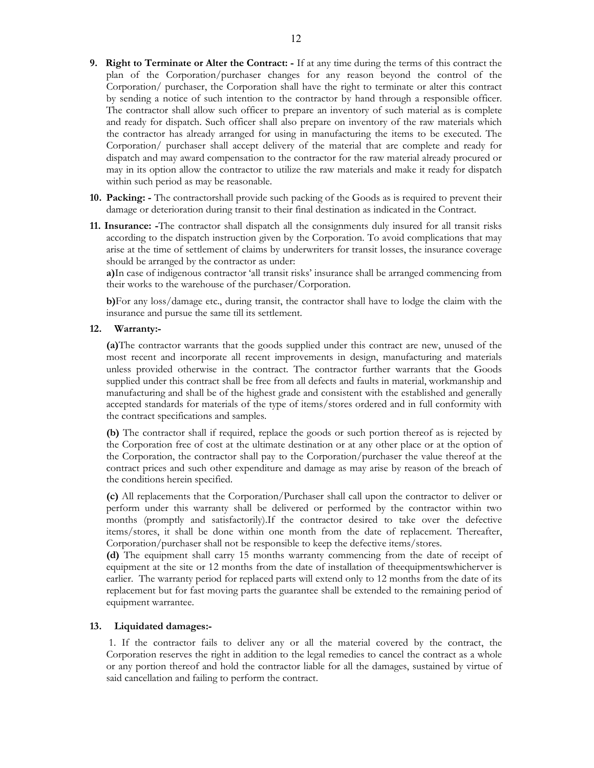- 9. Right to Terminate or Alter the Contract: If at any time during the terms of this contract the plan of the Corporation/purchaser changes for any reason beyond the control of the Corporation/ purchaser, the Corporation shall have the right to terminate or alter this contract by sending a notice of such intention to the contractor by hand through a responsible officer. The contractor shall allow such officer to prepare an inventory of such material as is complete and ready for dispatch. Such officer shall also prepare on inventory of the raw materials which the contractor has already arranged for using in manufacturing the items to be executed. The Corporation/ purchaser shall accept delivery of the material that are complete and ready for dispatch and may award compensation to the contractor for the raw material already procured or may in its option allow the contractor to utilize the raw materials and make it ready for dispatch within such period as may be reasonable.
- 10. Packing: The contractorshall provide such packing of the Goods as is required to prevent their damage or deterioration during transit to their final destination as indicated in the Contract.
- 11. Insurance: -The contractor shall dispatch all the consignments duly insured for all transit risks according to the dispatch instruction given by the Corporation. To avoid complications that may arise at the time of settlement of claims by underwriters for transit losses, the insurance coverage should be arranged by the contractor as under:

a)In case of indigenous contractor 'all transit risks' insurance shall be arranged commencing from their works to the warehouse of the purchaser/Corporation.

b)For any loss/damage etc., during transit, the contractor shall have to lodge the claim with the insurance and pursue the same till its settlement.

#### 12. Warranty:-

(a)The contractor warrants that the goods supplied under this contract are new, unused of the most recent and incorporate all recent improvements in design, manufacturing and materials unless provided otherwise in the contract. The contractor further warrants that the Goods supplied under this contract shall be free from all defects and faults in material, workmanship and manufacturing and shall be of the highest grade and consistent with the established and generally accepted standards for materials of the type of items/stores ordered and in full conformity with the contract specifications and samples.

(b) The contractor shall if required, replace the goods or such portion thereof as is rejected by the Corporation free of cost at the ultimate destination or at any other place or at the option of the Corporation, the contractor shall pay to the Corporation/purchaser the value thereof at the contract prices and such other expenditure and damage as may arise by reason of the breach of the conditions herein specified.

(c) All replacements that the Corporation/Purchaser shall call upon the contractor to deliver or perform under this warranty shall be delivered or performed by the contractor within two months (promptly and satisfactorily).If the contractor desired to take over the defective items/stores, it shall be done within one month from the date of replacement. Thereafter, Corporation/purchaser shall not be responsible to keep the defective items/stores.

(d) The equipment shall carry 15 months warranty commencing from the date of receipt of equipment at the site or 12 months from the date of installation of theequipmentswhicherver is earlier. The warranty period for replaced parts will extend only to 12 months from the date of its replacement but for fast moving parts the guarantee shall be extended to the remaining period of equipment warrantee.

#### 13. Liquidated damages:-

 1. If the contractor fails to deliver any or all the material covered by the contract, the Corporation reserves the right in addition to the legal remedies to cancel the contract as a whole or any portion thereof and hold the contractor liable for all the damages, sustained by virtue of said cancellation and failing to perform the contract.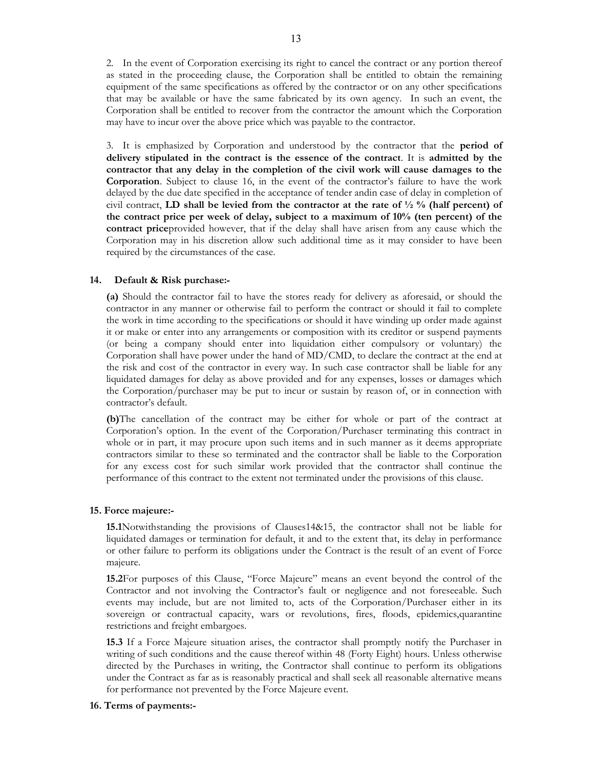2. In the event of Corporation exercising its right to cancel the contract or any portion thereof as stated in the proceeding clause, the Corporation shall be entitled to obtain the remaining equipment of the same specifications as offered by the contractor or on any other specifications that may be available or have the same fabricated by its own agency. In such an event, the Corporation shall be entitled to recover from the contractor the amount which the Corporation may have to incur over the above price which was payable to the contractor.

3. It is emphasized by Corporation and understood by the contractor that the period of delivery stipulated in the contract is the essence of the contract. It is admitted by the contractor that any delay in the completion of the civil work will cause damages to the Corporation. Subject to clause 16, in the event of the contractor's failure to have the work delayed by the due date specified in the acceptance of tender andin case of delay in completion of civil contract, LD shall be levied from the contractor at the rate of  $\frac{1}{2}$  % (half percent) of the contract price per week of delay, subject to a maximum of 10% (ten percent) of the contract priceprovided however, that if the delay shall have arisen from any cause which the Corporation may in his discretion allow such additional time as it may consider to have been required by the circumstances of the case.

## 14. Default & Risk purchase:-

 (a) Should the contractor fail to have the stores ready for delivery as aforesaid, or should the contractor in any manner or otherwise fail to perform the contract or should it fail to complete the work in time according to the specifications or should it have winding up order made against it or make or enter into any arrangements or composition with its creditor or suspend payments (or being a company should enter into liquidation either compulsory or voluntary) the Corporation shall have power under the hand of MD/CMD, to declare the contract at the end at the risk and cost of the contractor in every way. In such case contractor shall be liable for any liquidated damages for delay as above provided and for any expenses, losses or damages which the Corporation/purchaser may be put to incur or sustain by reason of, or in connection with contractor's default.

(b)The cancellation of the contract may be either for whole or part of the contract at Corporation's option. In the event of the Corporation/Purchaser terminating this contract in whole or in part, it may procure upon such items and in such manner as it deems appropriate contractors similar to these so terminated and the contractor shall be liable to the Corporation for any excess cost for such similar work provided that the contractor shall continue the performance of this contract to the extent not terminated under the provisions of this clause.

#### 15. Force majeure:-

15.1Notwithstanding the provisions of Clauses14&15, the contractor shall not be liable for liquidated damages or termination for default, it and to the extent that, its delay in performance or other failure to perform its obligations under the Contract is the result of an event of Force majeure.

15.2For purposes of this Clause, "Force Majeure" means an event beyond the control of the Contractor and not involving the Contractor's fault or negligence and not foreseeable. Such events may include, but are not limited to, acts of the Corporation/Purchaser either in its sovereign or contractual capacity, wars or revolutions, fires, floods, epidemics,quarantine restrictions and freight embargoes.

15.3 If a Force Majeure situation arises, the contractor shall promptly notify the Purchaser in writing of such conditions and the cause thereof within 48 (Forty Eight) hours. Unless otherwise directed by the Purchases in writing, the Contractor shall continue to perform its obligations under the Contract as far as is reasonably practical and shall seek all reasonable alternative means for performance not prevented by the Force Majeure event.

#### 16. Terms of payments:-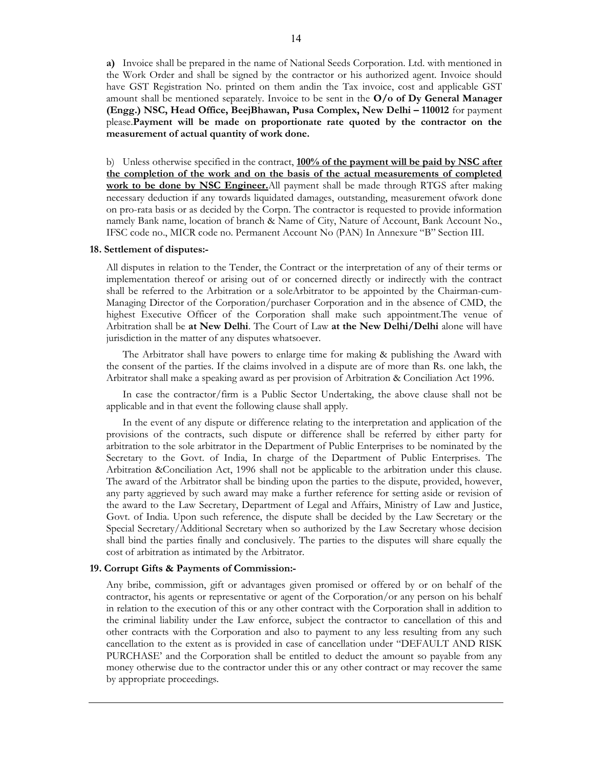a) Invoice shall be prepared in the name of National Seeds Corporation. Ltd. with mentioned in the Work Order and shall be signed by the contractor or his authorized agent. Invoice should have GST Registration No. printed on them andin the Tax invoice, cost and applicable GST amount shall be mentioned separately. Invoice to be sent in the  $O/O$  of Dy General Manager (Engg.) NSC, Head Office, BeejBhawan, Pusa Complex, New Delhi – 110012 for payment please.Payment will be made on proportionate rate quoted by the contractor on the measurement of actual quantity of work done.

b) Unless otherwise specified in the contract,  $100\%$  of the payment will be paid by NSC after the completion of the work and on the basis of the actual measurements of completed work to be done by NSC Engineer. All payment shall be made through RTGS after making necessary deduction if any towards liquidated damages, outstanding, measurement ofwork done on pro-rata basis or as decided by the Corpn. The contractor is requested to provide information namely Bank name, location of branch & Name of City, Nature of Account, Bank Account No., IFSC code no., MICR code no. Permanent Account No (PAN) In Annexure "B" Section III.

#### 18. Settlement of disputes:-

All disputes in relation to the Tender, the Contract or the interpretation of any of their terms or implementation thereof or arising out of or concerned directly or indirectly with the contract shall be referred to the Arbitration or a soleArbitrator to be appointed by the Chairman-cum-Managing Director of the Corporation/purchaser Corporation and in the absence of CMD, the highest Executive Officer of the Corporation shall make such appointment.The venue of Arbitration shall be at New Delhi. The Court of Law at the New Delhi/Delhi alone will have jurisdiction in the matter of any disputes whatsoever.

 The Arbitrator shall have powers to enlarge time for making & publishing the Award with the consent of the parties. If the claims involved in a dispute are of more than Rs. one lakh, the Arbitrator shall make a speaking award as per provision of Arbitration & Conciliation Act 1996.

 In case the contractor/firm is a Public Sector Undertaking, the above clause shall not be applicable and in that event the following clause shall apply.

 In the event of any dispute or difference relating to the interpretation and application of the provisions of the contracts, such dispute or difference shall be referred by either party for arbitration to the sole arbitrator in the Department of Public Enterprises to be nominated by the Secretary to the Govt. of India, In charge of the Department of Public Enterprises. The Arbitration &Conciliation Act, 1996 shall not be applicable to the arbitration under this clause. The award of the Arbitrator shall be binding upon the parties to the dispute, provided, however, any party aggrieved by such award may make a further reference for setting aside or revision of the award to the Law Secretary, Department of Legal and Affairs, Ministry of Law and Justice, Govt. of India. Upon such reference, the dispute shall be decided by the Law Secretary or the Special Secretary/Additional Secretary when so authorized by the Law Secretary whose decision shall bind the parties finally and conclusively. The parties to the disputes will share equally the cost of arbitration as intimated by the Arbitrator.

#### 19. Corrupt Gifts & Payments of Commission:-

 Any bribe, commission, gift or advantages given promised or offered by or on behalf of the contractor, his agents or representative or agent of the Corporation/or any person on his behalf in relation to the execution of this or any other contract with the Corporation shall in addition to the criminal liability under the Law enforce, subject the contractor to cancellation of this and other contracts with the Corporation and also to payment to any less resulting from any such cancellation to the extent as is provided in case of cancellation under "DEFAULT AND RISK PURCHASE' and the Corporation shall be entitled to deduct the amount so payable from any money otherwise due to the contractor under this or any other contract or may recover the same by appropriate proceedings.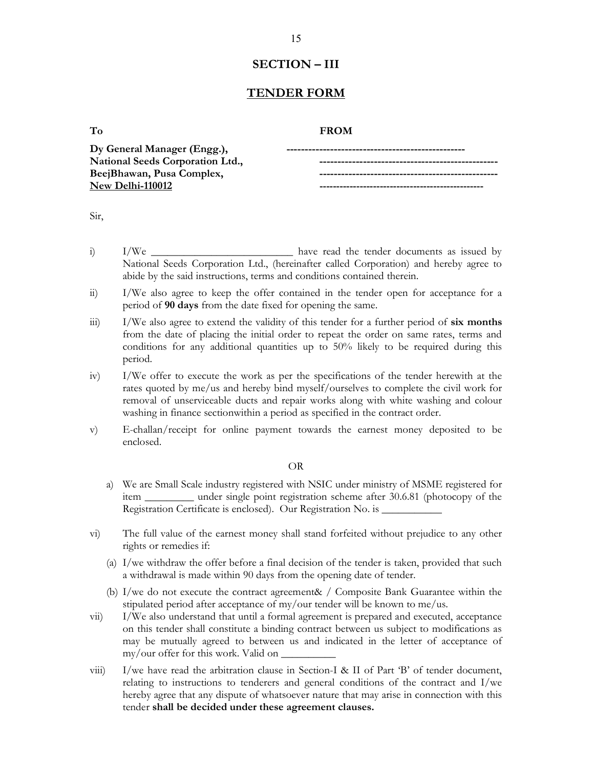## SECTION – III

## TENDER FORM

## To **FROM**

| Dy General Manager (Engg.),      |  |
|----------------------------------|--|
| National Seeds Corporation Ltd., |  |
| BeejBhawan, Pusa Complex,        |  |
| New Delhi-110012                 |  |

| ×            | PU 1 |
|--------------|------|
| I<br>v.<br>٠ |      |
|              | ۰.   |

- i) I/We **I** have read the tender documents as issued by National Seeds Corporation Ltd., (hereinafter called Corporation) and hereby agree to abide by the said instructions, terms and conditions contained therein.
- ii) I/We also agree to keep the offer contained in the tender open for acceptance for a period of 90 days from the date fixed for opening the same.
- $I/W$ e also agree to extend the validity of this tender for a further period of six months from the date of placing the initial order to repeat the order on same rates, terms and conditions for any additional quantities up to 50% likely to be required during this period.
- iv) I/We offer to execute the work as per the specifications of the tender herewith at the rates quoted by me/us and hereby bind myself/ourselves to complete the civil work for removal of unserviceable ducts and repair works along with white washing and colour washing in finance sectionwithin a period as specified in the contract order.
- v) E-challan/receipt for online payment towards the earnest money deposited to be enclosed.

#### OR

- a) We are Small Scale industry registered with NSIC under ministry of MSME registered for item \_\_\_\_\_\_\_\_\_ under single point registration scheme after 30.6.81 (photocopy of the Registration Certificate is enclosed). Our Registration No. is \_\_\_\_\_\_\_\_\_\_\_\_\_\_\_\_\_
- vi) The full value of the earnest money shall stand forfeited without prejudice to any other rights or remedies if:
	- (a) I/we withdraw the offer before a final decision of the tender is taken, provided that such a withdrawal is made within 90 days from the opening date of tender.
	- (b) I/we do not execute the contract agreement& / Composite Bank Guarantee within the stipulated period after acceptance of my/our tender will be known to me/us.
- vii) I/We also understand that until a formal agreement is prepared and executed, acceptance on this tender shall constitute a binding contract between us subject to modifications as may be mutually agreed to between us and indicated in the letter of acceptance of my/our offer for this work. Valid on \_
- viii) I/we have read the arbitration clause in Section-I & II of Part 'B' of tender document, relating to instructions to tenderers and general conditions of the contract and I/we hereby agree that any dispute of whatsoever nature that may arise in connection with this tender shall be decided under these agreement clauses.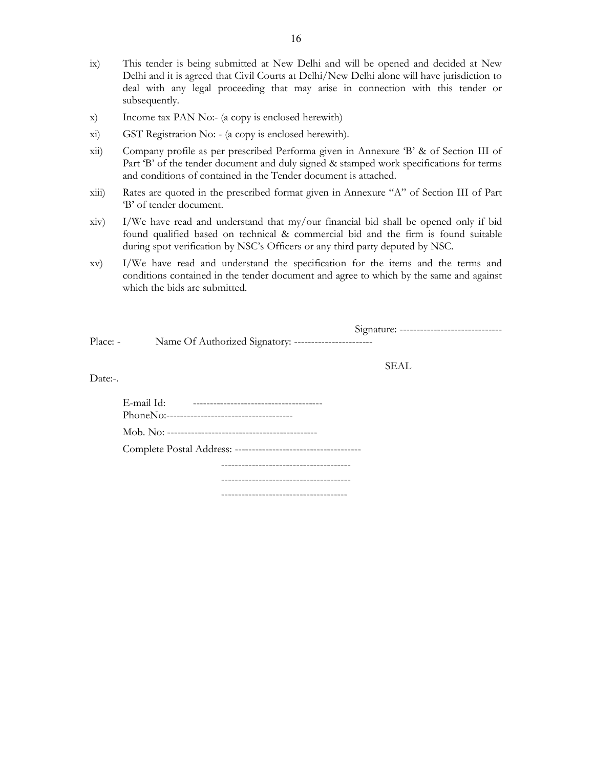- ix) This tender is being submitted at New Delhi and will be opened and decided at New Delhi and it is agreed that Civil Courts at Delhi/New Delhi alone will have jurisdiction to deal with any legal proceeding that may arise in connection with this tender or subsequently.
- x) Income tax PAN No:- (a copy is enclosed herewith)
- xi) GST Registration No: (a copy is enclosed herewith).
- xii) Company profile as per prescribed Performa given in Annexure 'B' & of Section III of Part 'B' of the tender document and duly signed & stamped work specifications for terms and conditions of contained in the Tender document is attached.
- xiii) Rates are quoted in the prescribed format given in Annexure "A" of Section III of Part 'B' of tender document.
- xiv) I/We have read and understand that my/our financial bid shall be opened only if bid found qualified based on technical & commercial bid and the firm is found suitable during spot verification by NSC's Officers or any third party deputed by NSC.
- xv) I/We have read and understand the specification for the items and the terms and conditions contained in the tender document and agree to which by the same and against which the bids are submitted.

Signature: ------------------------------

Place: - Name Of Authorized Signatory: -----------------------

SEAL

Date:-.

| E-mail Id: | ----------------------------------   |  |
|------------|--------------------------------------|--|
|            |                                      |  |
|            |                                      |  |
|            |                                      |  |
|            |                                      |  |
|            |                                      |  |
|            | ------------------------------------ |  |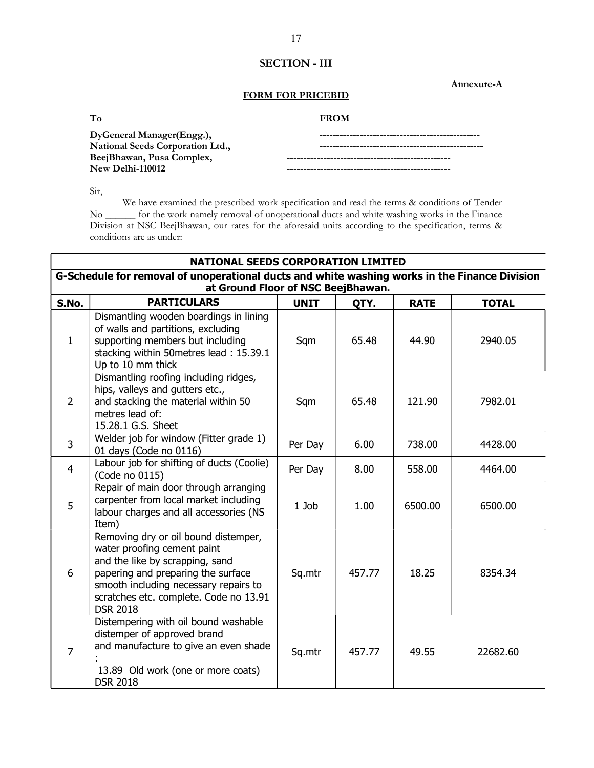## SECTION - III

Annexure-A

## FORM FOR PRICEBID

| <b>FROM</b><br>______ |
|-----------------------|
|                       |

| DyGeneral Manager(Engg.),        |  |
|----------------------------------|--|
| National Seeds Corporation Ltd., |  |
| BeejBhawan, Pusa Complex,        |  |
| New Delhi-110012                 |  |

Sir,

 We have examined the prescribed work specification and read the terms & conditions of Tender No \_\_\_\_\_\_ for the work namely removal of unoperational ducts and white washing works in the Finance Division at NSC BeejBhawan, our rates for the aforesaid units according to the specification, terms & conditions are as under:

|                | <b>NATIONAL SEEDS CORPORATION LIMITED</b>                                                                                                                                                                                                          |             |        |             |              |  |  |
|----------------|----------------------------------------------------------------------------------------------------------------------------------------------------------------------------------------------------------------------------------------------------|-------------|--------|-------------|--------------|--|--|
|                | G-Schedule for removal of unoperational ducts and white washing works in the Finance Division<br>at Ground Floor of NSC BeejBhawan.                                                                                                                |             |        |             |              |  |  |
| S.No.          | <b>PARTICULARS</b>                                                                                                                                                                                                                                 | <b>UNIT</b> | QTY.   | <b>RATE</b> | <b>TOTAL</b> |  |  |
| $\mathbf{1}$   | Dismantling wooden boardings in lining<br>of walls and partitions, excluding<br>supporting members but including<br>stacking within 50metres lead: 15.39.1<br>Up to 10 mm thick                                                                    | Sqm         | 65.48  | 44.90       | 2940.05      |  |  |
| $\overline{2}$ | Dismantling roofing including ridges,<br>hips, valleys and gutters etc.,<br>and stacking the material within 50<br>metres lead of:<br>15.28.1 G.S. Sheet                                                                                           | Sqm         | 65.48  | 121.90      | 7982.01      |  |  |
| 3              | Welder job for window (Fitter grade 1)<br>01 days (Code no 0116)                                                                                                                                                                                   | Per Day     | 6.00   | 738.00      | 4428.00      |  |  |
| $\overline{4}$ | Labour job for shifting of ducts (Coolie)<br>(Code no 0115)                                                                                                                                                                                        | Per Day     | 8.00   | 558.00      | 4464.00      |  |  |
| 5              | Repair of main door through arranging<br>carpenter from local market including<br>labour charges and all accessories (NS<br>Item)                                                                                                                  | $1$ Job     | 1.00   | 6500.00     | 6500.00      |  |  |
| 6              | Removing dry or oil bound distemper,<br>water proofing cement paint<br>and the like by scrapping, sand<br>papering and preparing the surface<br>smooth including necessary repairs to<br>scratches etc. complete. Code no 13.91<br><b>DSR 2018</b> | Sq.mtr      | 457.77 | 18.25       | 8354.34      |  |  |
| $\overline{7}$ | Distempering with oil bound washable<br>distemper of approved brand<br>and manufacture to give an even shade<br>13.89 Old work (one or more coats)<br><b>DSR 2018</b>                                                                              | Sq.mtr      | 457.77 | 49.55       | 22682.60     |  |  |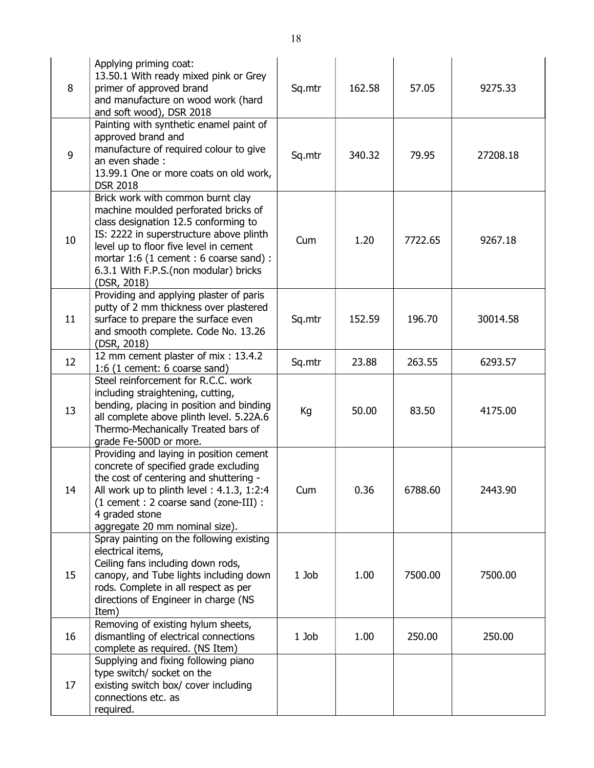| 8  | Applying priming coat:<br>13.50.1 With ready mixed pink or Grey<br>primer of approved brand<br>and manufacture on wood work (hard<br>and soft wood), DSR 2018                                                                                                                                             | Sq.mtr  | 162.58 | 57.05   | 9275.33  |
|----|-----------------------------------------------------------------------------------------------------------------------------------------------------------------------------------------------------------------------------------------------------------------------------------------------------------|---------|--------|---------|----------|
| 9  | Painting with synthetic enamel paint of<br>approved brand and<br>manufacture of required colour to give<br>an even shade:<br>13.99.1 One or more coats on old work,<br><b>DSR 2018</b>                                                                                                                    | Sq.mtr  | 340.32 | 79.95   | 27208.18 |
| 10 | Brick work with common burnt clay<br>machine moulded perforated bricks of<br>class designation 12.5 conforming to<br>IS: 2222 in superstructure above plinth<br>level up to floor five level in cement<br>mortar 1:6 (1 cement : 6 coarse sand) :<br>6.3.1 With F.P.S.(non modular) bricks<br>(DSR, 2018) | Cum     | 1.20   | 7722.65 | 9267.18  |
| 11 | Providing and applying plaster of paris<br>putty of 2 mm thickness over plastered<br>surface to prepare the surface even<br>and smooth complete. Code No. 13.26<br>(DSR, 2018)                                                                                                                            | Sq.mtr  | 152.59 | 196.70  | 30014.58 |
| 12 | 12 mm cement plaster of mix: 13.4.2<br>1:6 (1 cement: 6 coarse sand)                                                                                                                                                                                                                                      | Sq.mtr  | 23.88  | 263.55  | 6293.57  |
| 13 | Steel reinforcement for R.C.C. work<br>including straightening, cutting,<br>bending, placing in position and binding<br>all complete above plinth level. 5.22A.6<br>Thermo-Mechanically Treated bars of<br>grade Fe-500D or more.                                                                         | Kg      | 50.00  | 83.50   | 4175.00  |
| 14 | Providing and laying in position cement<br>concrete of specified grade excluding<br>the cost of centering and shuttering -<br>All work up to plinth level: 4.1.3, 1:2:4<br>(1 cement : 2 coarse sand (zone-III) :<br>4 graded stone<br>aggregate 20 mm nominal size).                                     | Cum     | 0.36   | 6788.60 | 2443.90  |
| 15 | Spray painting on the following existing<br>electrical items,<br>Ceiling fans including down rods,<br>canopy, and Tube lights including down<br>rods. Complete in all respect as per<br>directions of Engineer in charge (NS<br>Item)                                                                     | $1$ Job | 1.00   | 7500.00 | 7500.00  |
| 16 | Removing of existing hylum sheets,<br>dismantling of electrical connections<br>complete as required. (NS Item)                                                                                                                                                                                            | 1 Job   | 1.00   | 250.00  | 250.00   |
| 17 | Supplying and fixing following piano<br>type switch/ socket on the<br>existing switch box/ cover including<br>connections etc. as<br>required.                                                                                                                                                            |         |        |         |          |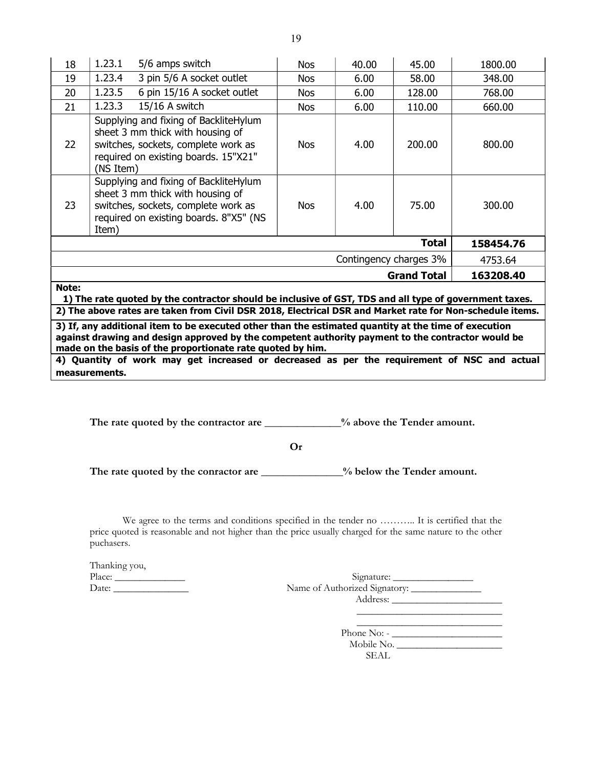| 18                                                                                                              | 1.23.1    | 5/6 amps switch                                                                                                                                            | Nos        | 40.00 | 45.00        | 1800.00   |
|-----------------------------------------------------------------------------------------------------------------|-----------|------------------------------------------------------------------------------------------------------------------------------------------------------------|------------|-------|--------------|-----------|
| 19                                                                                                              | 1.23.4    | 3 pin 5/6 A socket outlet                                                                                                                                  | Nos        | 6.00  | 58.00        | 348.00    |
| 20                                                                                                              | 1.23.5    | 6 pin 15/16 A socket outlet                                                                                                                                | <b>Nos</b> | 6.00  | 128.00       | 768.00    |
| 21                                                                                                              | 1.23.3    | 15/16 A switch                                                                                                                                             | Nos        | 6.00  | 110.00       | 660.00    |
| 22                                                                                                              | (NS Item) | Supplying and fixing of BackliteHylum<br>sheet 3 mm thick with housing of<br>switches, sockets, complete work as<br>required on existing boards. 15"X21"   | <b>Nos</b> | 4.00  | 200.00       | 800.00    |
| 23                                                                                                              | Item)     | Supplying and fixing of BackliteHylum<br>sheet 3 mm thick with housing of<br>switches, sockets, complete work as<br>required on existing boards. 8"X5" (NS | <b>Nos</b> | 4.00  | 75.00        | 300.00    |
|                                                                                                                 |           |                                                                                                                                                            |            |       | <b>Total</b> | 158454.76 |
| Contingency charges 3%<br>4753.64                                                                               |           |                                                                                                                                                            |            |       |              |           |
| <b>Grand Total</b><br>163208.40                                                                                 |           |                                                                                                                                                            |            |       |              |           |
| Note:<br>1) The rate quoted by the contractor should be inclusive of GST, TDS and all type of government taxes. |           |                                                                                                                                                            |            |       |              |           |
| 2) The above rates are taken from Civil DSR 2018, Electrical DSR and Market rate for Non-schedule items.        |           |                                                                                                                                                            |            |       |              |           |

3) If, any additional item to be executed other than the estimated quantity at the time of execution against drawing and design approved by the competent authority payment to the contractor would be made on the basis of the proportionate rate quoted by him.

4) Quantity of work may get increased or decreased as per the requirement of NSC and actual measurements.

The rate quoted by the contractor are \_\_\_\_\_\_\_\_\_\_\_\_% above the Tender amount.

Or

The rate quoted by the conractor are \_\_\_\_\_\_\_\_\_\_\_\_\_% below the Tender amount.

We agree to the terms and conditions specified in the tender no ……….. It is certified that the price quoted is reasonable and not higher than the price usually charged for the same nature to the other puchasers.

| Thanking you, |                  |
|---------------|------------------|
|               | Signature:       |
|               |                  |
|               |                  |
|               |                  |
|               |                  |
|               | Phone No: $\sim$ |
|               | $M$ obile $N$ o  |

Mobile No. \_\_\_\_\_\_\_\_\_\_\_\_\_\_\_\_\_\_\_\_\_ SEAL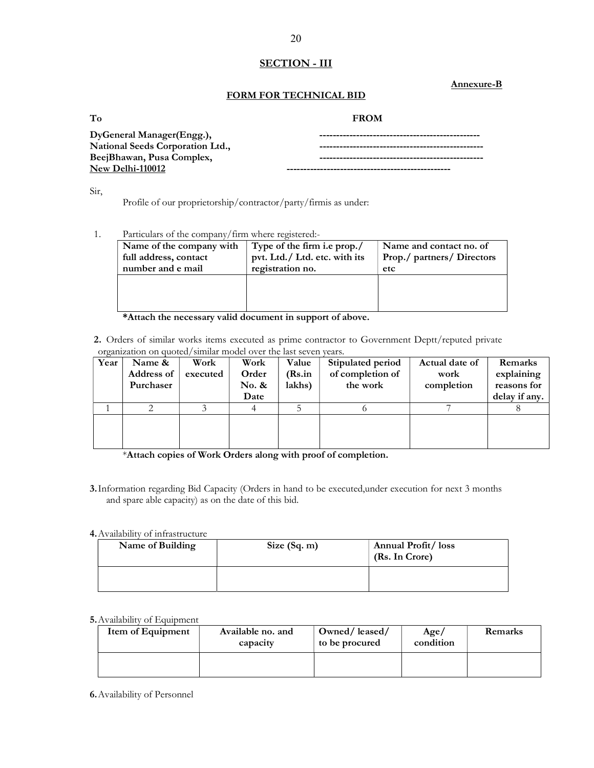## **SECTION - III**

Annexure-B

## FORM FOR TECHNICAL BID

| To | <b>FROM</b><br>_____ |
|----|----------------------|
|----|----------------------|

| DyGeneral Manager(Engg.),        |  |
|----------------------------------|--|
| National Seeds Corporation Ltd., |  |
| BeejBhawan, Pusa Complex,        |  |
| New Delhi-110012                 |  |

Sir,

Profile of our proprietorship/contractor/party/firmis as under:

## 1. Particulars of the company/firm where registered:-

| Name of the company with<br>full address, contact<br>number and e mail | Type of the firm i.e prop./<br>pvt. Ltd./ Ltd. etc. with its<br>registration no. | Name and contact no. of<br>Prop./ partners/ Directors<br>etc |
|------------------------------------------------------------------------|----------------------------------------------------------------------------------|--------------------------------------------------------------|
|                                                                        |                                                                                  |                                                              |
|                                                                        |                                                                                  |                                                              |

## \*Attach the necessary valid document in support of above.

2. Orders of similar works items executed as prime contractor to Government Deptt/reputed private organization on quoted/similar model over the last seven years.

| Year | Name &     | Work     | Work  | Value  | Stipulated period | Actual date of | Remarks       |
|------|------------|----------|-------|--------|-------------------|----------------|---------------|
|      | Address of | executed | Order | (Rs.in | of completion of  | work           | explaining    |
|      | Purchaser  |          | No. & | lakhs) | the work          | completion     | reasons for   |
|      |            |          | Date  |        |                   |                | delay if any. |
|      |            |          |       |        |                   |                |               |
|      |            |          |       |        |                   |                |               |
|      |            |          |       |        |                   |                |               |
|      |            |          |       |        |                   |                |               |

\*Attach copies of Work Orders along with proof of completion.

3.Information regarding Bid Capacity (Orders in hand to be executed,under execution for next 3 months and spare able capacity) as on the date of this bid.

#### 4.Availability of infrastructure

| Name of Building | Size $(Sq, m)$ | <b>Annual Profit/loss</b><br>(Rs. In Crore) |
|------------------|----------------|---------------------------------------------|
|                  |                |                                             |

#### 5.Availability of Equipment

| Item of Equipment | Available no. and<br>capacity | Owned/leased/<br>to be procured | Age/<br>condition | Remarks |
|-------------------|-------------------------------|---------------------------------|-------------------|---------|
|                   |                               |                                 |                   |         |

## 6.Availability of Personnel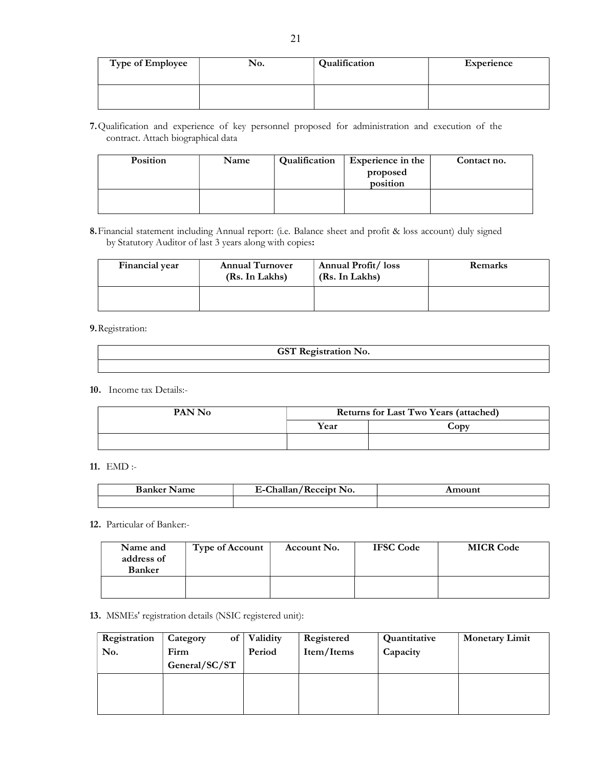| <b>Type of Employee</b> | No. | Qualification | Experience |
|-------------------------|-----|---------------|------------|
|                         |     |               |            |

7.Qualification and experience of key personnel proposed for administration and execution of the contract. Attach biographical data

| Position | Name | Qualification | Experience in the<br>proposed<br>position | Contact no. |
|----------|------|---------------|-------------------------------------------|-------------|
|          |      |               |                                           |             |

8.Financial statement including Annual report: (i.e. Balance sheet and profit & loss account) duly signed by Statutory Auditor of last 3 years along with copies:

| Financial year | <b>Annual Turnover</b><br>(Rs. In Lakhs) | Annual Profit/loss<br>(Rs. In Lakhs) | Remarks |
|----------------|------------------------------------------|--------------------------------------|---------|
|                |                                          |                                      |         |

## 9.Registration:

| <b>GST Registration No.</b> |
|-----------------------------|
|                             |

## 10. Income tax Details:-

| PAN No | <b>Returns for Last Two Years (attached)</b> |                  |
|--------|----------------------------------------------|------------------|
|        | Year                                         | $\mathbf{C}$ ODV |
|        |                                              |                  |

## 11. EMD :-

| Ð<br>$\sim$<br>07 | $\sim$<br>NО.<br>. <i>.</i> . <b>. .</b> .<br>----- |  |
|-------------------|-----------------------------------------------------|--|
|                   |                                                     |  |

#### 12. Particular of Banker:-

| Name and<br>address of<br><b>Banker</b> | <b>Type of Account</b> | Account No. | <b>IFSC Code</b> | <b>MICR Code</b> |
|-----------------------------------------|------------------------|-------------|------------------|------------------|
|                                         |                        |             |                  |                  |

## 13. MSMEs' registration details (NSIC registered unit):

| Registration | οf<br>Category | Validity | Registered | Quantitative | <b>Monetary Limit</b> |
|--------------|----------------|----------|------------|--------------|-----------------------|
| No.          | Firm           | Period   | Item/Items | Capacity     |                       |
|              | General/SC/ST  |          |            |              |                       |
|              |                |          |            |              |                       |
|              |                |          |            |              |                       |
|              |                |          |            |              |                       |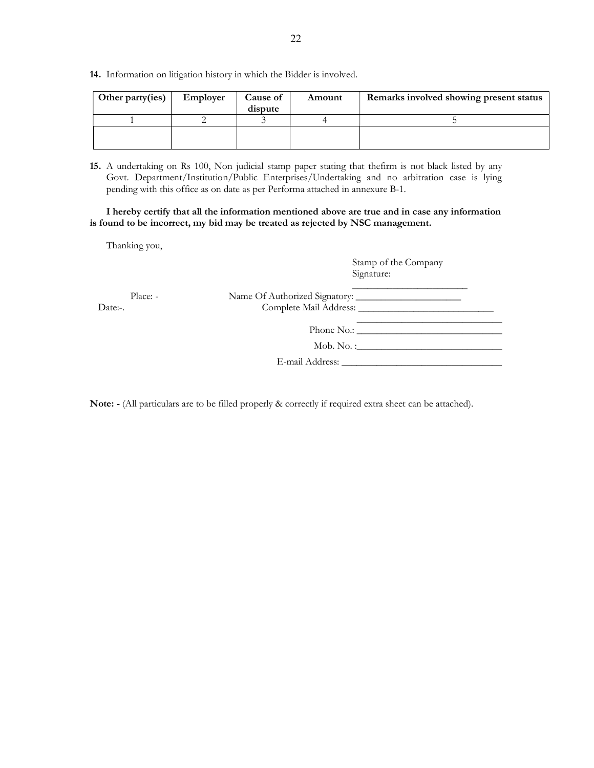14. Information on litigation history in which the Bidder is involved.

| Other party(ies) | Employer | Cause of<br>dispute | Amount | Remarks involved showing present status |
|------------------|----------|---------------------|--------|-----------------------------------------|
|                  |          |                     |        |                                         |
|                  |          |                     |        |                                         |

15. A undertaking on Rs 100, Non judicial stamp paper stating that thefirm is not black listed by any Govt. Department/Institution/Public Enterprises/Undertaking and no arbitration case is lying pending with this office as on date as per Performa attached in annexure B-1.

I hereby certify that all the information mentioned above are true and in case any information is found to be incorrect, my bid may be treated as rejected by NSC management.

Thanking you,

| Stamp of the Company |  |
|----------------------|--|
| Signature:           |  |

| Place: -<br>Date:-. |                      |  |
|---------------------|----------------------|--|
|                     | Phone No.:           |  |
|                     | $\mathbf{Mob. No.}:$ |  |
|                     |                      |  |

Note: - (All particulars are to be filled properly & correctly if required extra sheet can be attached).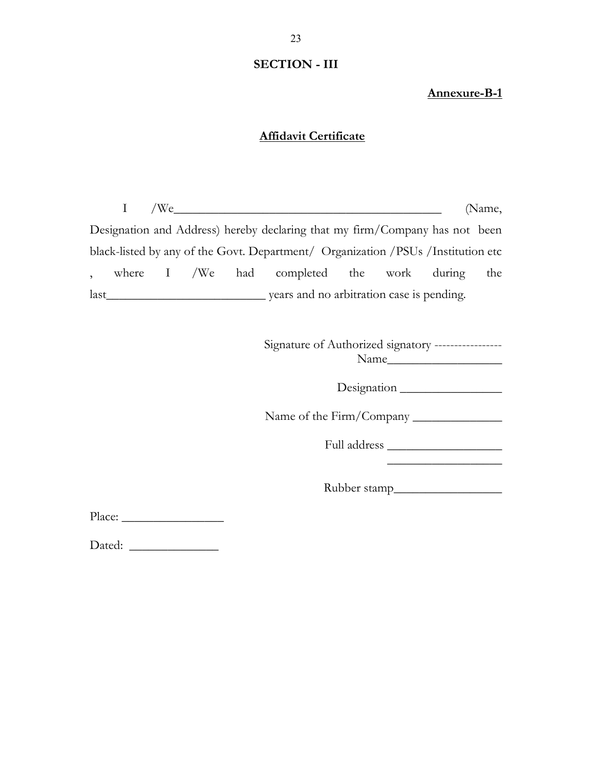## SECTION - III

Annexure-B-1

## Affidavit Certificate

 $I$  /We $\qquad$  (Name, Designation and Address) hereby declaring that my firm/Company has not been black-listed by any of the Govt. Department/ Organization /PSUs /Institution etc , where I /We had completed the work during the last\_\_\_\_\_\_\_\_\_\_\_\_\_\_\_\_\_\_\_\_\_\_\_\_\_ years and no arbitration case is pending.

> Signature of Authorized signatory ----------------- Name\_\_\_\_\_\_\_\_\_\_\_\_\_\_\_\_\_\_

> > Designation \_\_\_\_\_\_\_\_\_\_\_\_\_\_\_\_

Name of the Firm/Company \_\_\_\_\_\_\_\_\_\_\_\_\_\_

Full address \_\_\_\_\_\_\_\_\_\_\_\_\_\_\_\_\_\_

\_\_\_\_\_\_\_\_\_\_\_\_\_\_\_\_\_\_

Rubber stamp\_\_\_\_\_\_\_\_\_\_\_\_\_\_\_\_\_

Place: \_\_\_\_\_\_\_\_\_\_\_\_\_\_\_\_

Dated: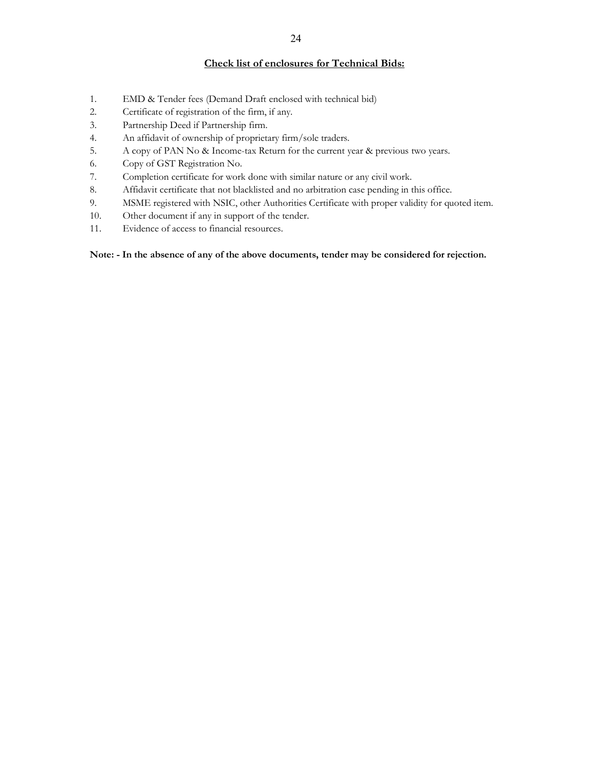## Check list of enclosures for Technical Bids:

- 1. EMD & Tender fees (Demand Draft enclosed with technical bid)
- 2. Certificate of registration of the firm, if any.
- 3. Partnership Deed if Partnership firm.
- 4. An affidavit of ownership of proprietary firm/sole traders.
- 5. A copy of PAN No & Income-tax Return for the current year & previous two years.
- 6. Copy of GST Registration No.
- 7. Completion certificate for work done with similar nature or any civil work.
- 8. Affidavit certificate that not blacklisted and no arbitration case pending in this office.
- 9. MSME registered with NSIC, other Authorities Certificate with proper validity for quoted item.
- 10. Other document if any in support of the tender.
- 11. Evidence of access to financial resources.

Note: - In the absence of any of the above documents, tender may be considered for rejection.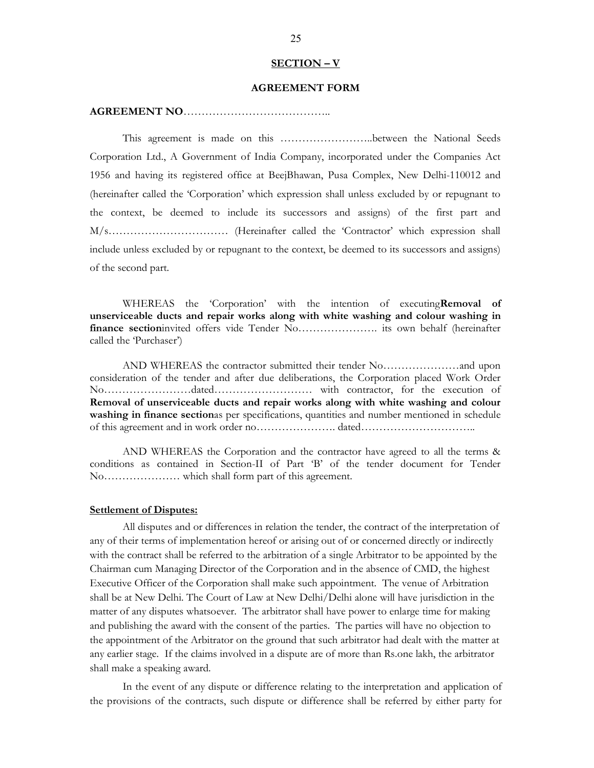#### SECTION – V

## AGREEMENT FORM

## AGREEMENT NO…………………………………..

 This agreement is made on this ……………………..between the National Seeds Corporation Ltd., A Government of India Company, incorporated under the Companies Act 1956 and having its registered office at BeejBhawan, Pusa Complex, New Delhi-110012 and (hereinafter called the 'Corporation' which expression shall unless excluded by or repugnant to the context, be deemed to include its successors and assigns) of the first part and M/s…………………………… (Hereinafter called the 'Contractor' which expression shall include unless excluded by or repugnant to the context, be deemed to its successors and assigns) of the second part.

WHEREAS the 'Corporation' with the intention of executing Removal of unserviceable ducts and repair works along with white washing and colour washing in finance sectioninvited offers vide Tender No…………………. its own behalf (hereinafter called the 'Purchaser')

 AND WHEREAS the contractor submitted their tender No…………………and upon consideration of the tender and after due deliberations, the Corporation placed Work Order No……………………dated……………………… with contractor, for the execution of Removal of unserviceable ducts and repair works along with white washing and colour washing in finance sectionas per specifications, quantities and number mentioned in schedule of this agreement and in work order no…………………. dated…………………………..

 AND WHEREAS the Corporation and the contractor have agreed to all the terms & conditions as contained in Section-II of Part 'B' of the tender document for Tender No………………… which shall form part of this agreement.

#### **Settlement of Disputes:**

 All disputes and or differences in relation the tender, the contract of the interpretation of any of their terms of implementation hereof or arising out of or concerned directly or indirectly with the contract shall be referred to the arbitration of a single Arbitrator to be appointed by the Chairman cum Managing Director of the Corporation and in the absence of CMD, the highest Executive Officer of the Corporation shall make such appointment. The venue of Arbitration shall be at New Delhi. The Court of Law at New Delhi/Delhi alone will have jurisdiction in the matter of any disputes whatsoever. The arbitrator shall have power to enlarge time for making and publishing the award with the consent of the parties. The parties will have no objection to the appointment of the Arbitrator on the ground that such arbitrator had dealt with the matter at any earlier stage. If the claims involved in a dispute are of more than Rs.one lakh, the arbitrator shall make a speaking award.

In the event of any dispute or difference relating to the interpretation and application of the provisions of the contracts, such dispute or difference shall be referred by either party for